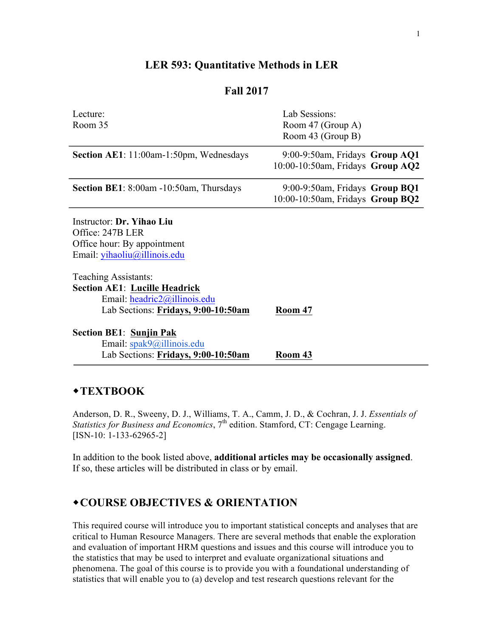# **LER 593: Quantitative Methods in LER**

## **Fall 2017**

| Lecture:                                        | Lab Sessions:                       |  |  |  |
|-------------------------------------------------|-------------------------------------|--|--|--|
| Room 35                                         | Room 47 (Group A)                   |  |  |  |
|                                                 | Room 43 (Group B)                   |  |  |  |
|                                                 |                                     |  |  |  |
| Section AE1: 11:00am-1:50pm, Wednesdays         | 9:00-9:50am, Fridays Group AQ1      |  |  |  |
|                                                 | $10:00-10:50$ am, Fridays Group AQ2 |  |  |  |
| <b>Section BE1</b> : 8:00am -10:50am, Thursdays | $9:00-9:50$ am, Fridays Group BQ1   |  |  |  |
|                                                 | 10:00-10:50am, Fridays Group BQ2    |  |  |  |
| Instructor: Dr. Yihao Liu                       |                                     |  |  |  |
| Office: 247B LER                                |                                     |  |  |  |
| Office hour: By appointment                     |                                     |  |  |  |
| Email: yihaoliu@illinois.edu                    |                                     |  |  |  |
|                                                 |                                     |  |  |  |
| Teaching Assistants:                            |                                     |  |  |  |
| <b>Section AE1: Lucille Headrick</b>            |                                     |  |  |  |
| Email: $headric2@illinois.edu$                  |                                     |  |  |  |
| Lab Sections: Fridays, 9:00-10:50am             | Room 47                             |  |  |  |
|                                                 |                                     |  |  |  |
| <b>Section BE1: Sunjin Pak</b>                  |                                     |  |  |  |
| Email: spak9@illinois.edu                       |                                     |  |  |  |
| Lab Sections: Fridays, 9:00-10:50am             | Room 43                             |  |  |  |

## ◆**TEXTBOOK**

Anderson, D. R., Sweeny, D. J., Williams, T. A., Camm, J. D., & Cochran, J. J. *Essentials of Statistics for Business and Economics*, 7<sup>th</sup> edition. Stamford, CT: Cengage Learning. [ISN-10: 1-133-62965-2]

In addition to the book listed above, **additional articles may be occasionally assigned**. If so, these articles will be distributed in class or by email.

# w**COURSE OBJECTIVES & ORIENTATION**

This required course will introduce you to important statistical concepts and analyses that are critical to Human Resource Managers. There are several methods that enable the exploration and evaluation of important HRM questions and issues and this course will introduce you to the statistics that may be used to interpret and evaluate organizational situations and phenomena. The goal of this course is to provide you with a foundational understanding of statistics that will enable you to (a) develop and test research questions relevant for the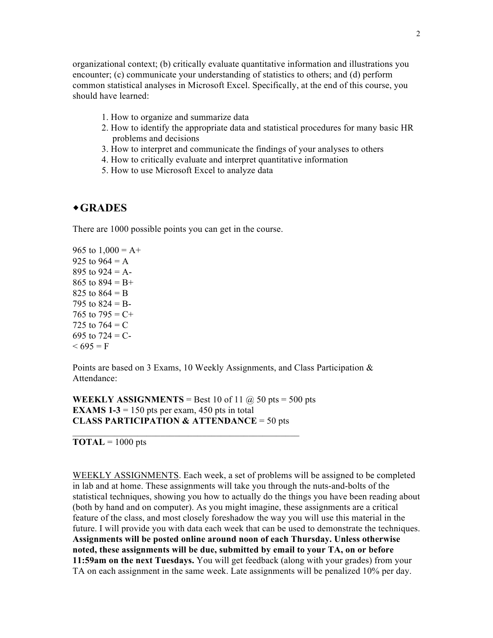organizational context; (b) critically evaluate quantitative information and illustrations you encounter; (c) communicate your understanding of statistics to others; and (d) perform common statistical analyses in Microsoft Excel. Specifically, at the end of this course, you should have learned:

- 1. How to organize and summarize data
- 2. How to identify the appropriate data and statistical procedures for many basic HR problems and decisions
- 3. How to interpret and communicate the findings of your analyses to others
- 4. How to critically evaluate and interpret quantitative information
- 5. How to use Microsoft Excel to analyze data

#### w**GRADES**

There are 1000 possible points you can get in the course.

965 to  $1,000 = A +$ 925 to  $964 = A$ 895 to  $924 = A$ -865 to  $894 = B +$ 825 to  $864 = B$ 795 to  $824 = B$ -765 to  $795 = C +$ 725 to  $764 = C$ 695 to  $724 = C$ - $< 695 = F$ 

Points are based on 3 Exams, 10 Weekly Assignments, and Class Participation & Attendance:

**WEEKLY ASSIGNMENTS** = Best 10 of 11  $\omega$  50 pts = 500 pts **EXAMS 1-3** = 150 pts per exam, 450 pts in total **CLASS PARTICIPATION & ATTENDANCE** = 50 pts

 $\mathcal{L}_\text{max}$  and the contract of the contract of the contract of the contract of the contract of the contract of the contract of the contract of the contract of the contract of the contract of the contract of the contrac

**TOTAL** =  $1000$  pts

WEEKLY ASSIGNMENTS. Each week, a set of problems will be assigned to be completed in lab and at home. These assignments will take you through the nuts-and-bolts of the statistical techniques, showing you how to actually do the things you have been reading about (both by hand and on computer). As you might imagine, these assignments are a critical feature of the class, and most closely foreshadow the way you will use this material in the future. I will provide you with data each week that can be used to demonstrate the techniques. **Assignments will be posted online around noon of each Thursday. Unless otherwise noted, these assignments will be due, submitted by email to your TA, on or before 11:59am on the next Tuesdays.** You will get feedback (along with your grades) from your TA on each assignment in the same week. Late assignments will be penalized 10% per day.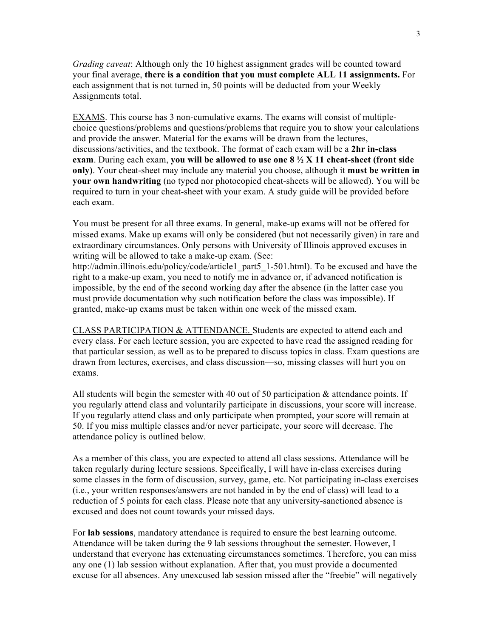*Grading caveat*: Although only the 10 highest assignment grades will be counted toward your final average, **there is a condition that you must complete ALL 11 assignments.** For each assignment that is not turned in, 50 points will be deducted from your Weekly Assignments total.

EXAMS. This course has 3 non-cumulative exams. The exams will consist of multiplechoice questions/problems and questions/problems that require you to show your calculations and provide the answer. Material for the exams will be drawn from the lectures, discussions/activities, and the textbook. The format of each exam will be a **2hr in-class exam**. During each exam, **you will be allowed to use one 8 ½ X 11 cheat-sheet (front side only)**. Your cheat-sheet may include any material you choose, although it **must be written in your own handwriting** (no typed nor photocopied cheat-sheets will be allowed). You will be required to turn in your cheat-sheet with your exam. A study guide will be provided before each exam.

You must be present for all three exams. In general, make-up exams will not be offered for missed exams. Make up exams will only be considered (but not necessarily given) in rare and extraordinary circumstances. Only persons with University of Illinois approved excuses in writing will be allowed to take a make-up exam. (See:

http://admin.illinois.edu/policy/code/article1\_part5\_1-501.html). To be excused and have the right to a make-up exam, you need to notify me in advance or, if advanced notification is impossible, by the end of the second working day after the absence (in the latter case you must provide documentation why such notification before the class was impossible). If granted, make-up exams must be taken within one week of the missed exam.

CLASS PARTICIPATION & ATTENDANCE. Students are expected to attend each and every class. For each lecture session, you are expected to have read the assigned reading for that particular session, as well as to be prepared to discuss topics in class. Exam questions are drawn from lectures, exercises, and class discussion—so, missing classes will hurt you on exams.

All students will begin the semester with 40 out of 50 participation  $\&$  attendance points. If you regularly attend class and voluntarily participate in discussions, your score will increase. If you regularly attend class and only participate when prompted, your score will remain at 50. If you miss multiple classes and/or never participate, your score will decrease. The attendance policy is outlined below.

As a member of this class, you are expected to attend all class sessions. Attendance will be taken regularly during lecture sessions. Specifically, I will have in-class exercises during some classes in the form of discussion, survey, game, etc. Not participating in-class exercises (i.e., your written responses/answers are not handed in by the end of class) will lead to a reduction of 5 points for each class. Please note that any university-sanctioned absence is excused and does not count towards your missed days.

For **lab sessions**, mandatory attendance is required to ensure the best learning outcome. Attendance will be taken during the 9 lab sessions throughout the semester. However, I understand that everyone has extenuating circumstances sometimes. Therefore, you can miss any one (1) lab session without explanation. After that, you must provide a documented excuse for all absences. Any unexcused lab session missed after the "freebie" will negatively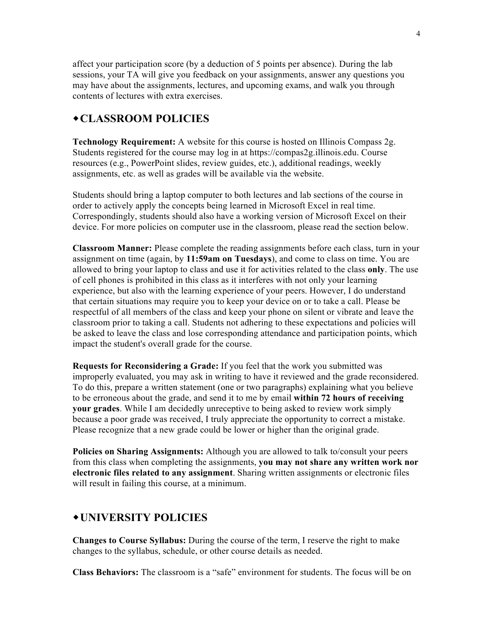affect your participation score (by a deduction of 5 points per absence). During the lab sessions, your TA will give you feedback on your assignments, answer any questions you may have about the assignments, lectures, and upcoming exams, and walk you through contents of lectures with extra exercises.

## w**CLASSROOM POLICIES**

**Technology Requirement:** A website for this course is hosted on Illinois Compass 2g. Students registered for the course may log in at https://compas2g.illinois.edu. Course resources (e.g., PowerPoint slides, review guides, etc.), additional readings, weekly assignments, etc. as well as grades will be available via the website.

Students should bring a laptop computer to both lectures and lab sections of the course in order to actively apply the concepts being learned in Microsoft Excel in real time. Correspondingly, students should also have a working version of Microsoft Excel on their device. For more policies on computer use in the classroom, please read the section below.

**Classroom Manner:** Please complete the reading assignments before each class, turn in your assignment on time (again, by **11:59am on Tuesdays**), and come to class on time. You are allowed to bring your laptop to class and use it for activities related to the class **only**. The use of cell phones is prohibited in this class as it interferes with not only your learning experience, but also with the learning experience of your peers. However, I do understand that certain situations may require you to keep your device on or to take a call. Please be respectful of all members of the class and keep your phone on silent or vibrate and leave the classroom prior to taking a call. Students not adhering to these expectations and policies will be asked to leave the class and lose corresponding attendance and participation points, which impact the student's overall grade for the course.

**Requests for Reconsidering a Grade:** If you feel that the work you submitted was improperly evaluated, you may ask in writing to have it reviewed and the grade reconsidered. To do this, prepare a written statement (one or two paragraphs) explaining what you believe to be erroneous about the grade, and send it to me by email **within 72 hours of receiving your grades**. While I am decidedly unreceptive to being asked to review work simply because a poor grade was received, I truly appreciate the opportunity to correct a mistake. Please recognize that a new grade could be lower or higher than the original grade.

**Policies on Sharing Assignments:** Although you are allowed to talk to/consult your peers from this class when completing the assignments, **you may not share any written work nor electronic files related to any assignment**. Sharing written assignments or electronic files will result in failing this course, at a minimum.

## w**UNIVERSITY POLICIES**

**Changes to Course Syllabus:** During the course of the term, I reserve the right to make changes to the syllabus, schedule, or other course details as needed.

**Class Behaviors:** The classroom is a "safe" environment for students. The focus will be on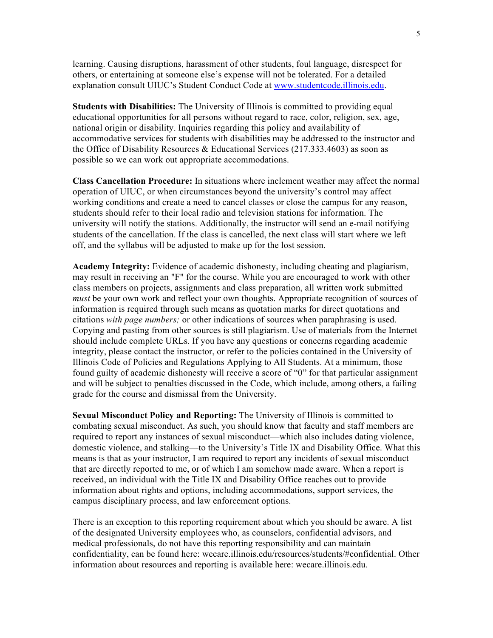learning. Causing disruptions, harassment of other students, foul language, disrespect for others, or entertaining at someone else's expense will not be tolerated. For a detailed explanation consult UIUC's Student Conduct Code at www.studentcode.illinois.edu.

**Students with Disabilities:** The University of Illinois is committed to providing equal educational opportunities for all persons without regard to race, color, religion, sex, age, national origin or disability. Inquiries regarding this policy and availability of accommodative services for students with disabilities may be addressed to the instructor and the Office of Disability Resources & Educational Services (217.333.4603) as soon as possible so we can work out appropriate accommodations.

**Class Cancellation Procedure:** In situations where inclement weather may affect the normal operation of UIUC, or when circumstances beyond the university's control may affect working conditions and create a need to cancel classes or close the campus for any reason, students should refer to their local radio and television stations for information. The university will notify the stations. Additionally, the instructor will send an e-mail notifying students of the cancellation. If the class is cancelled, the next class will start where we left off, and the syllabus will be adjusted to make up for the lost session.

**Academy Integrity:** Evidence of academic dishonesty, including cheating and plagiarism, may result in receiving an "F" for the course. While you are encouraged to work with other class members on projects, assignments and class preparation, all written work submitted *must* be your own work and reflect your own thoughts. Appropriate recognition of sources of information is required through such means as quotation marks for direct quotations and citations *with page numbers;* or other indications of sources when paraphrasing is used. Copying and pasting from other sources is still plagiarism. Use of materials from the Internet should include complete URLs. If you have any questions or concerns regarding academic integrity, please contact the instructor, or refer to the policies contained in the University of Illinois Code of Policies and Regulations Applying to All Students. At a minimum, those found guilty of academic dishonesty will receive a score of "0" for that particular assignment and will be subject to penalties discussed in the Code, which include, among others, a failing grade for the course and dismissal from the University.

**Sexual Misconduct Policy and Reporting:** The University of Illinois is committed to combating sexual misconduct. As such, you should know that faculty and staff members are required to report any instances of sexual misconduct—which also includes dating violence, domestic violence, and stalking—to the University's Title IX and Disability Office. What this means is that as your instructor, I am required to report any incidents of sexual misconduct that are directly reported to me, or of which I am somehow made aware. When a report is received, an individual with the Title IX and Disability Office reaches out to provide information about rights and options, including accommodations, support services, the campus disciplinary process, and law enforcement options.

There is an exception to this reporting requirement about which you should be aware. A list of the designated University employees who, as counselors, confidential advisors, and medical professionals, do not have this reporting responsibility and can maintain confidentiality, can be found here: wecare.illinois.edu/resources/students/#confidential. Other information about resources and reporting is available here: wecare.illinois.edu.